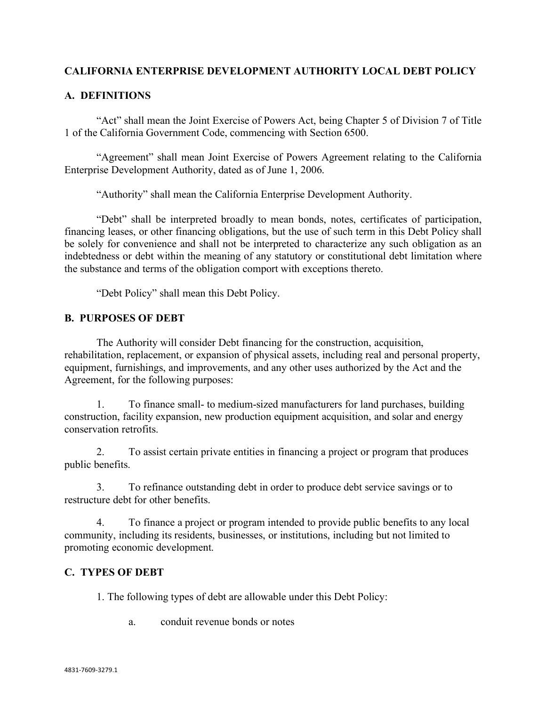## **CALIFORNIA ENTERPRISE DEVELOPMENT AUTHORITY LOCAL DEBT POLICY**

## **A. DEFINITIONS**

"Act" shall mean the Joint Exercise of Powers Act, being Chapter 5 of Division 7 of Title 1 of the California Government Code, commencing with Section 6500.

"Agreement" shall mean Joint Exercise of Powers Agreement relating to the California Enterprise Development Authority, dated as of June 1, 2006.

"Authority" shall mean the California Enterprise Development Authority.

"Debt" shall be interpreted broadly to mean bonds, notes, certificates of participation, financing leases, or other financing obligations, but the use of such term in this Debt Policy shall be solely for convenience and shall not be interpreted to characterize any such obligation as an indebtedness or debt within the meaning of any statutory or constitutional debt limitation where the substance and terms of the obligation comport with exceptions thereto.

"Debt Policy" shall mean this Debt Policy.

#### **B. PURPOSES OF DEBT**

The Authority will consider Debt financing for the construction, acquisition, rehabilitation, replacement, or expansion of physical assets, including real and personal property, equipment, furnishings, and improvements, and any other uses authorized by the Act and the Agreement, for the following purposes:

1. To finance small- to medium-sized manufacturers for land purchases, building construction, facility expansion, new production equipment acquisition, and solar and energy conservation retrofits.

2. To assist certain private entities in financing a project or program that produces public benefits.

3. To refinance outstanding debt in order to produce debt service savings or to restructure debt for other benefits.

4. To finance a project or program intended to provide public benefits to any local community, including its residents, businesses, or institutions, including but not limited to promoting economic development.

## **C. TYPES OF DEBT**

1. The following types of debt are allowable under this Debt Policy:

a. conduit revenue bonds or notes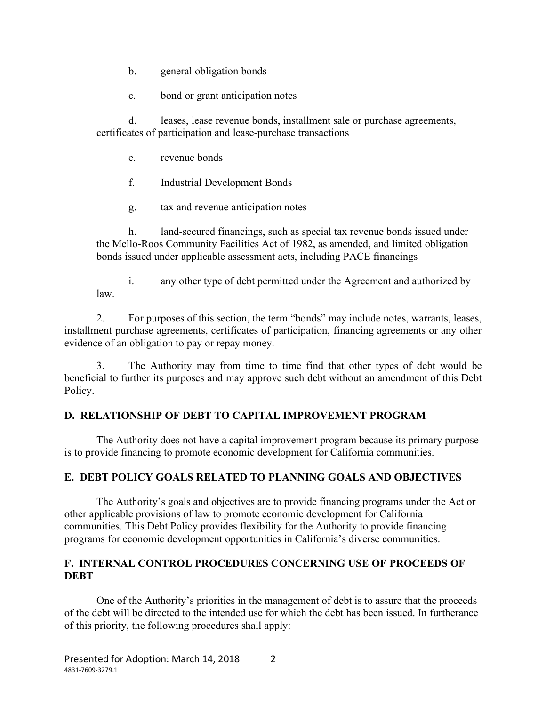- b. general obligation bonds
- c. bond or grant anticipation notes

d. leases, lease revenue bonds, installment sale or purchase agreements, certificates of participation and lease-purchase transactions

- e. revenue bonds
- f. Industrial Development Bonds
- g. tax and revenue anticipation notes

h. land-secured financings, such as special tax revenue bonds issued under the Mello-Roos Community Facilities Act of 1982, as amended, and limited obligation bonds issued under applicable assessment acts, including PACE financings

i. any other type of debt permitted under the Agreement and authorized by law.

2. For purposes of this section, the term "bonds" may include notes, warrants, leases, installment purchase agreements, certificates of participation, financing agreements or any other evidence of an obligation to pay or repay money.

3. The Authority may from time to time find that other types of debt would be beneficial to further its purposes and may approve such debt without an amendment of this Debt Policy.

## **D. RELATIONSHIP OF DEBT TO CAPITAL IMPROVEMENT PROGRAM**

The Authority does not have a capital improvement program because its primary purpose is to provide financing to promote economic development for California communities.

## **E. DEBT POLICY GOALS RELATED TO PLANNING GOALS AND OBJECTIVES**

The Authority's goals and objectives are to provide financing programs under the Act or other applicable provisions of law to promote economic development for California communities. This Debt Policy provides flexibility for the Authority to provide financing programs for economic development opportunities in California's diverse communities.

## **F. INTERNAL CONTROL PROCEDURES CONCERNING USE OF PROCEEDS OF DEBT**

One of the Authority's priorities in the management of debt is to assure that the proceeds of the debt will be directed to the intended use for which the debt has been issued. In furtherance of this priority, the following procedures shall apply: